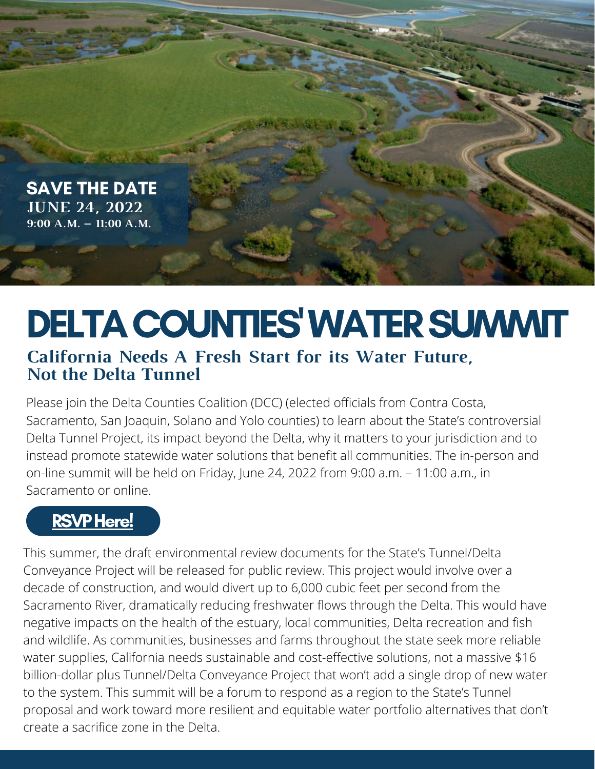

# DELTA COUNTIES' WATER SUMMIT **California Needs A Fresh Start for its Water Future, Not the Delta Tunnel**

Please join the Delta Counties Coalition (DCC) (elected officials from Contra Costa, Sacramento, San Joaquin, Solano and Yolo counties) to learn about the State's controversial Delta Tunnel Project, its impact beyond the Delta, why it matters to your jurisdiction and to instead promote statewide water solutions that benefit all communities. The in-person and on-line summit will be held on Friday, June 24, 2022 from 9:00 a.m. – 11:00 a.m., in Sacramento or online.

# **RSVP Here!**

This summer, the draft environmental review documents for the State's Tunnel/Delta Conveyance Project will be released for public review. This project would involve over a decade of construction, and would divert up to 6,000 cubic feet per second from the Sacramento River, dramatically reducing freshwater flows through the Delta. This would have negative impacts on the health of the estuary, local communities, Delta recreation and fish and wildlife. As communities, businesses and farms throughout the state seek more reliable water supplies, California needs sustainable and cost-effective solutions, not a massive \$16 billion-dollar plus Tunnel/Delta Conveyance Project that won't add a single drop of new water to the system. This summit will be a forum to respond as a region to the State's Tunnel proposal and work toward more resilient and equitable water portfolio alternatives that don't create a sacrifice zone in the Delta.